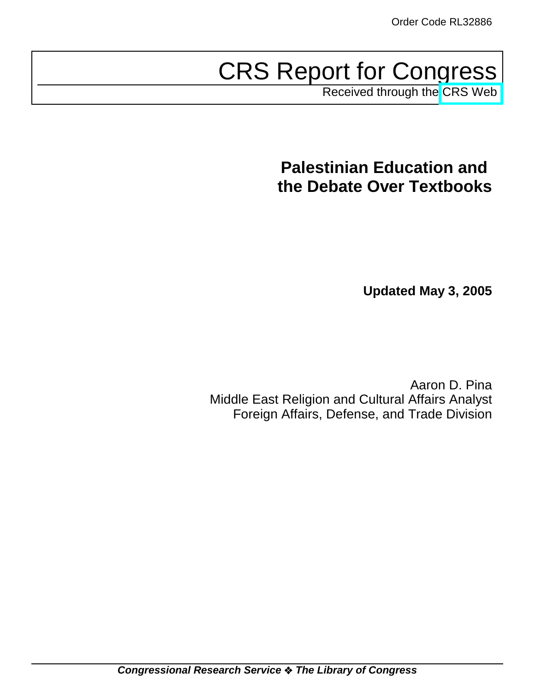# CRS Report for Congress

Received through the [CRS Web](http://www.fas.org/sgp/crs/mideast/index.html)

# **Palestinian Education and the Debate Over Textbooks**

**Updated May 3, 2005**

Aaron D. Pina Middle East Religion and Cultural Affairs Analyst Foreign Affairs, Defense, and Trade Division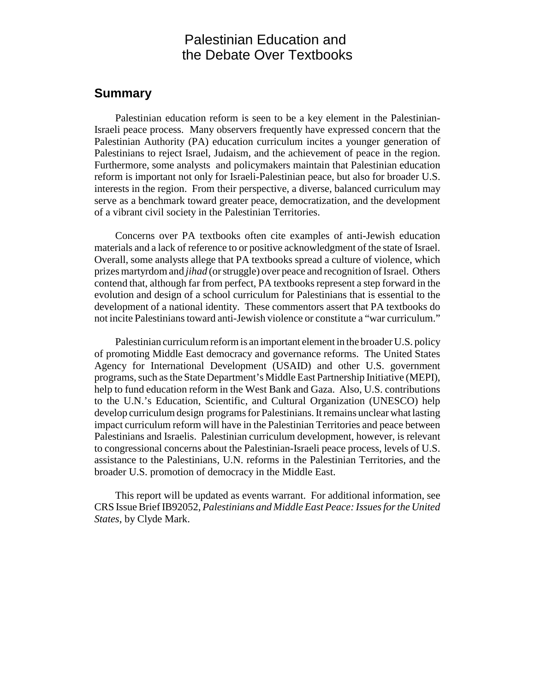## Palestinian Education and the Debate Over Textbooks

#### **Summary**

Palestinian education reform is seen to be a key element in the Palestinian-Israeli peace process. Many observers frequently have expressed concern that the Palestinian Authority (PA) education curriculum incites a younger generation of Palestinians to reject Israel, Judaism, and the achievement of peace in the region. Furthermore, some analysts and policymakers maintain that Palestinian education reform is important not only for Israeli-Palestinian peace, but also for broader U.S. interests in the region. From their perspective, a diverse, balanced curriculum may serve as a benchmark toward greater peace, democratization, and the development of a vibrant civil society in the Palestinian Territories.

Concerns over PA textbooks often cite examples of anti-Jewish education materials and a lack of reference to or positive acknowledgment of the state of Israel. Overall, some analysts allege that PA textbooks spread a culture of violence, which prizes martyrdom and *jihad* (or struggle) over peace and recognition of Israel. Others contend that, although far from perfect, PA textbooks represent a step forward in the evolution and design of a school curriculum for Palestinians that is essential to the development of a national identity. These commentors assert that PA textbooks do not incite Palestinians toward anti-Jewish violence or constitute a "war curriculum."

Palestinian curriculum reform is an important element in the broader U.S. policy of promoting Middle East democracy and governance reforms. The United States Agency for International Development (USAID) and other U.S. government programs, such as the State Department's Middle East Partnership Initiative (MEPI), help to fund education reform in the West Bank and Gaza. Also, U.S. contributions to the U.N.'s Education, Scientific, and Cultural Organization (UNESCO) help develop curriculum design programs for Palestinians. It remains unclear what lasting impact curriculum reform will have in the Palestinian Territories and peace between Palestinians and Israelis. Palestinian curriculum development, however, is relevant to congressional concerns about the Palestinian-Israeli peace process, levels of U.S. assistance to the Palestinians, U.N. reforms in the Palestinian Territories, and the broader U.S. promotion of democracy in the Middle East.

This report will be updated as events warrant. For additional information, see CRS Issue Brief IB92052, *Palestinians and Middle East Peace: Issues for the United States*, by Clyde Mark.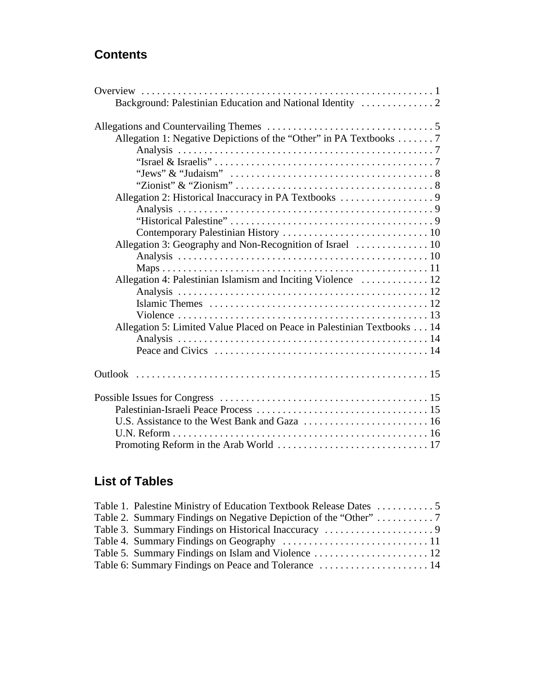## **Contents**

| Background: Palestinian Education and National Identity                                                           |  |
|-------------------------------------------------------------------------------------------------------------------|--|
|                                                                                                                   |  |
| Allegation 1: Negative Depictions of the "Other" in PA Textbooks 7                                                |  |
|                                                                                                                   |  |
|                                                                                                                   |  |
| "Jews" & "Judaism" $\ldots \ldots \ldots \ldots \ldots \ldots \ldots \ldots \ldots \ldots \ldots \ldots \ldots 8$ |  |
|                                                                                                                   |  |
|                                                                                                                   |  |
|                                                                                                                   |  |
|                                                                                                                   |  |
|                                                                                                                   |  |
|                                                                                                                   |  |
|                                                                                                                   |  |
|                                                                                                                   |  |
| Allegation 4: Palestinian Islamism and Inciting Violence  12                                                      |  |
|                                                                                                                   |  |
|                                                                                                                   |  |
|                                                                                                                   |  |
| Allegation 5: Limited Value Placed on Peace in Palestinian Textbooks 14                                           |  |
|                                                                                                                   |  |
|                                                                                                                   |  |
|                                                                                                                   |  |
|                                                                                                                   |  |
|                                                                                                                   |  |
|                                                                                                                   |  |
|                                                                                                                   |  |
|                                                                                                                   |  |

## **List of Tables**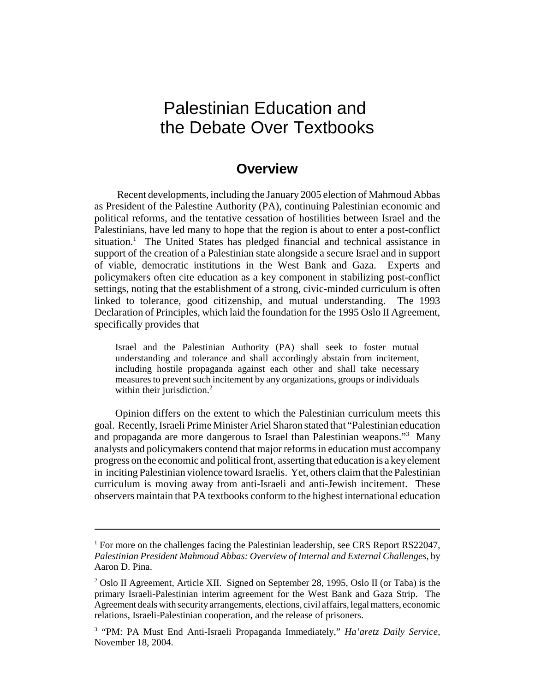## Palestinian Education and the Debate Over Textbooks

## **Overview**

 Recent developments, including the January 2005 election of Mahmoud Abbas as President of the Palestine Authority (PA), continuing Palestinian economic and political reforms, and the tentative cessation of hostilities between Israel and the Palestinians, have led many to hope that the region is about to enter a post-conflict situation.<sup>1</sup> The United States has pledged financial and technical assistance in support of the creation of a Palestinian state alongside a secure Israel and in support of viable, democratic institutions in the West Bank and Gaza. Experts and policymakers often cite education as a key component in stabilizing post-conflict settings, noting that the establishment of a strong, civic-minded curriculum is often linked to tolerance, good citizenship, and mutual understanding. The 1993 Declaration of Principles, which laid the foundation for the 1995 Oslo II Agreement, specifically provides that

Israel and the Palestinian Authority (PA) shall seek to foster mutual understanding and tolerance and shall accordingly abstain from incitement, including hostile propaganda against each other and shall take necessary measures to prevent such incitement by any organizations, groups or individuals within their jurisdiction.<sup>2</sup>

Opinion differs on the extent to which the Palestinian curriculum meets this goal. Recently, Israeli Prime Minister Ariel Sharon stated that "Palestinian education and propaganda are more dangerous to Israel than Palestinian weapons."3 Many analysts and policymakers contend that major reforms in education must accompany progress on the economic and political front, asserting that education is a key element in inciting Palestinian violence toward Israelis. Yet, others claim that the Palestinian curriculum is moving away from anti-Israeli and anti-Jewish incitement. These observers maintain that PA textbooks conform to the highest international education

<sup>&</sup>lt;sup>1</sup> For more on the challenges facing the Palestinian leadership, see CRS Report RS22047, *Palestinian President Mahmoud Abbas: Overview of Internal and External Challenges*, by Aaron D. Pina.

<sup>&</sup>lt;sup>2</sup> Oslo II Agreement, Article XII. Signed on September 28, 1995, Oslo II (or Taba) is the primary Israeli-Palestinian interim agreement for the West Bank and Gaza Strip. The Agreement deals with security arrangements, elections, civil affairs, legal matters, economic relations, Israeli-Palestinian cooperation, and the release of prisoners.

<sup>&</sup>lt;sup>3</sup> "PM: PA Must End Anti-Israeli Propaganda Immediately," *Ha'aretz Daily Service*, November 18, 2004.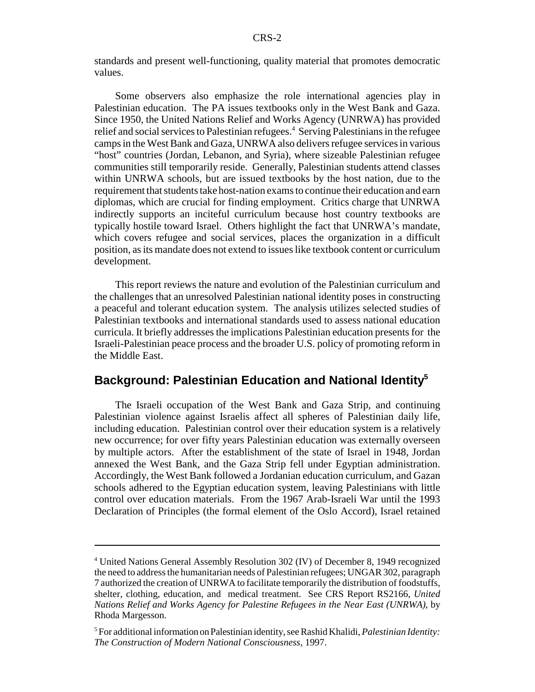standards and present well-functioning, quality material that promotes democratic values.

Some observers also emphasize the role international agencies play in Palestinian education. The PA issues textbooks only in the West Bank and Gaza. Since 1950, the United Nations Relief and Works Agency (UNRWA) has provided relief and social services to Palestinian refugees.<sup>4</sup> Serving Palestinians in the refugee camps in the West Bank and Gaza, UNRWA also delivers refugee services in various "host" countries (Jordan, Lebanon, and Syria), where sizeable Palestinian refugee communities still temporarily reside. Generally, Palestinian students attend classes within UNRWA schools, but are issued textbooks by the host nation, due to the requirement that students take host-nation exams to continue their education and earn diplomas, which are crucial for finding employment. Critics charge that UNRWA indirectly supports an inciteful curriculum because host country textbooks are typically hostile toward Israel. Others highlight the fact that UNRWA's mandate, which covers refugee and social services, places the organization in a difficult position, as its mandate does not extend to issues like textbook content or curriculum development.

This report reviews the nature and evolution of the Palestinian curriculum and the challenges that an unresolved Palestinian national identity poses in constructing a peaceful and tolerant education system. The analysis utilizes selected studies of Palestinian textbooks and international standards used to assess national education curricula. It briefly addresses the implications Palestinian education presents for the Israeli-Palestinian peace process and the broader U.S. policy of promoting reform in the Middle East.

## **Background: Palestinian Education and National Identity5**

The Israeli occupation of the West Bank and Gaza Strip, and continuing Palestinian violence against Israelis affect all spheres of Palestinian daily life, including education. Palestinian control over their education system is a relatively new occurrence; for over fifty years Palestinian education was externally overseen by multiple actors. After the establishment of the state of Israel in 1948, Jordan annexed the West Bank, and the Gaza Strip fell under Egyptian administration. Accordingly, the West Bank followed a Jordanian education curriculum, and Gazan schools adhered to the Egyptian education system, leaving Palestinians with little control over education materials. From the 1967 Arab-Israeli War until the 1993 Declaration of Principles (the formal element of the Oslo Accord), Israel retained

<sup>&</sup>lt;sup>4</sup> United Nations General Assembly Resolution 302 (IV) of December 8, 1949 recognized the need to address the humanitarian needs of Palestinian refugees; UNGAR 302, paragraph 7 authorized the creation of UNRWA to facilitate temporarily the distribution of foodstuffs, shelter, clothing, education, and medical treatment. See CRS Report RS2166, *United Nations Relief and Works Agency for Palestine Refugees in the Near East (UNRWA)*, by Rhoda Margesson.

<sup>5</sup> For additional information on Palestinian identity, see Rashid Khalidi, *Palestinian Identity: The Construction of Modern National Consciousness*, 1997.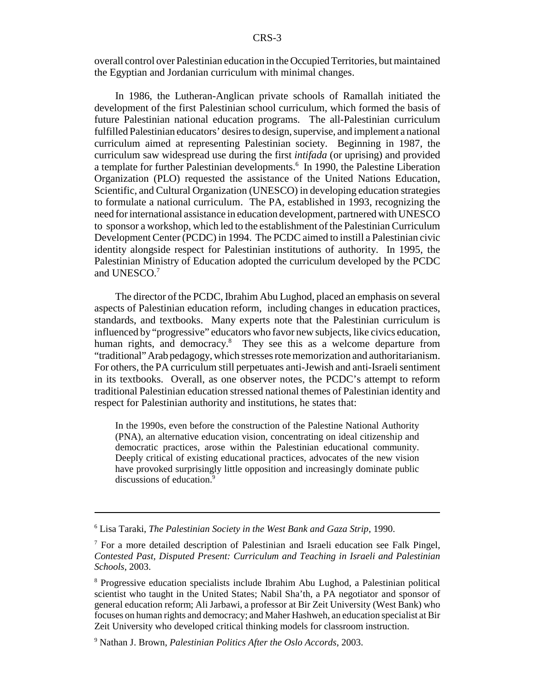overall control over Palestinian education in the Occupied Territories, but maintained the Egyptian and Jordanian curriculum with minimal changes.

In 1986, the Lutheran-Anglican private schools of Ramallah initiated the development of the first Palestinian school curriculum, which formed the basis of future Palestinian national education programs. The all-Palestinian curriculum fulfilled Palestinian educators' desires to design, supervise, and implement a national curriculum aimed at representing Palestinian society. Beginning in 1987, the curriculum saw widespread use during the first *intifada* (or uprising) and provided a template for further Palestinian developments.<sup>6</sup> In 1990, the Palestine Liberation Organization (PLO) requested the assistance of the United Nations Education, Scientific, and Cultural Organization (UNESCO) in developing education strategies to formulate a national curriculum. The PA, established in 1993, recognizing the need for international assistance in education development, partnered with UNESCO to sponsor a workshop, which led to the establishment of the Palestinian Curriculum Development Center (PCDC) in 1994. The PCDC aimed to instill a Palestinian civic identity alongside respect for Palestinian institutions of authority. In 1995, the Palestinian Ministry of Education adopted the curriculum developed by the PCDC and UNESCO.<sup>7</sup>

The director of the PCDC, Ibrahim Abu Lughod, placed an emphasis on several aspects of Palestinian education reform, including changes in education practices, standards, and textbooks. Many experts note that the Palestinian curriculum is influenced by "progressive" educators who favor new subjects, like civics education, human rights, and democracy.<sup>8</sup> They see this as a welcome departure from "traditional" Arab pedagogy, which stresses rote memorization and authoritarianism. For others, the PA curriculum still perpetuates anti-Jewish and anti-Israeli sentiment in its textbooks. Overall, as one observer notes, the PCDC's attempt to reform traditional Palestinian education stressed national themes of Palestinian identity and respect for Palestinian authority and institutions, he states that:

In the 1990s, even before the construction of the Palestine National Authority (PNA), an alternative education vision, concentrating on ideal citizenship and democratic practices, arose within the Palestinian educational community. Deeply critical of existing educational practices, advocates of the new vision have provoked surprisingly little opposition and increasingly dominate public discussions of education.<sup>9</sup>

<sup>6</sup> Lisa Taraki, *The Palestinian Society in the West Bank and Gaza Strip*, 1990.

<sup>&</sup>lt;sup>7</sup> For a more detailed description of Palestinian and Israeli education see Falk Pingel, *Contested Past, Disputed Present: Curriculum and Teaching in Israeli and Palestinian Schools*, 2003.

<sup>&</sup>lt;sup>8</sup> Progressive education specialists include Ibrahim Abu Lughod, a Palestinian political scientist who taught in the United States; Nabil Sha'th, a PA negotiator and sponsor of general education reform; Ali Jarbawi, a professor at Bir Zeit University (West Bank) who focuses on human rights and democracy; and Maher Hashweh, an education specialist at Bir Zeit University who developed critical thinking models for classroom instruction.

<sup>9</sup> Nathan J. Brown, *Palestinian Politics After the Oslo Accords*, 2003.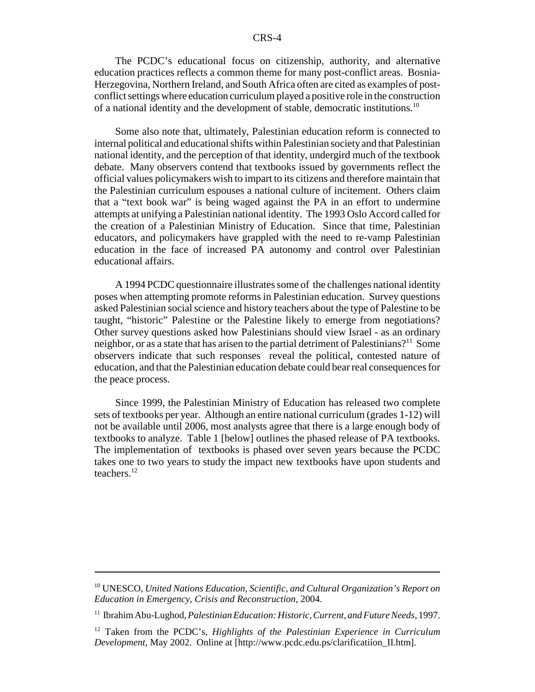The PCDC's educational focus on citizenship, authority, and alternative education practices reflects a common theme for many post-conflict areas. Bosnia-Herzegovina, Northern Ireland, and South Africa often are cited as examples of postconflict settings where education curriculum played a positive role in the construction of a national identity and the development of stable, democratic institutions.<sup>10</sup>

Some also note that, ultimately, Palestinian education reform is connected to internal political and educational shifts within Palestinian society and that Palestinian national identity, and the perception of that identity, undergird much of the textbook debate. Many observers contend that textbooks issued by governments reflect the official values policymakers wish to impart to its citizens and therefore maintain that the Palestinian curriculum espouses a national culture of incitement. Others claim that a "text book war" is being waged against the PA in an effort to undermine attempts at unifying a Palestinian national identity. The 1993 Oslo Accord called for the creation of a Palestinian Ministry of Education. Since that time, Palestinian educators, and policymakers have grappled with the need to re-vamp Palestinian education in the face of increased PA autonomy and control over Palestinian educational affairs.

A 1994 PCDC questionnaire illustrates some of the challenges national identity poses when attempting promote reforms in Palestinian education. Survey questions asked Palestinian social science and history teachers about the type of Palestine to be taught, "historic" Palestine or the Palestine likely to emerge from negotiations? Other survey questions asked how Palestinians should view Israel - as an ordinary neighbor, or as a state that has arisen to the partial detriment of Palestinians?<sup>11</sup> Some observers indicate that such responses reveal the political, contested nature of education, and that the Palestinian education debate could bear real consequences for the peace process.

Since 1999, the Palestinian Ministry of Education has released two complete sets of textbooks per year. Although an entire national curriculum (grades 1-12) will not be available until 2006, most analysts agree that there is a large enough body of textbooks to analyze. Table 1 [below] outlines the phased release of PA textbooks. The implementation of textbooks is phased over seven years because the PCDC takes one to two years to study the impact new textbooks have upon students and teachers.12

<sup>10</sup> UNESCO, *United Nations Education, Scientific, and Cultural Organization's Report on Education in Emergency, Crisis and Reconstruction*, 2004.

<sup>11</sup> Ibrahim Abu-Lughod, *Palestinian Education: Historic, Current, and Future Needs*, 1997.

<sup>12</sup> Taken from the PCDC's, *Highlights of the Palestinian Experience in Curriculum Development*, May 2002. Online at [http://www.pcdc.edu.ps/clarificatiion\_II.htm].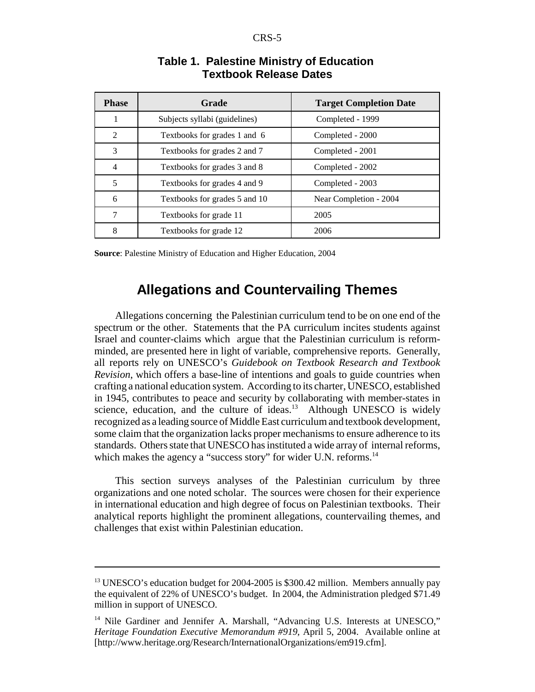| <b>Phase</b>   | Grade                         | <b>Target Completion Date</b> |
|----------------|-------------------------------|-------------------------------|
| 1              | Subjects syllabi (guidelines) | Completed - 1999              |
| $\overline{2}$ | Textbooks for grades 1 and 6  | Completed - 2000              |
| 3              | Textbooks for grades 2 and 7  | Completed - 2001              |
| 4              | Textbooks for grades 3 and 8  | Completed - 2002              |
| 5              | Textbooks for grades 4 and 9  | Completed - 2003              |
| 6              | Textbooks for grades 5 and 10 | Near Completion - 2004        |
| 7              | Textbooks for grade 11        | 2005                          |
| 8              | Textbooks for grade 12        | 2006                          |

## **Table 1. Palestine Ministry of Education Textbook Release Dates**

**Source**: Palestine Ministry of Education and Higher Education, 2004

## **Allegations and Countervailing Themes**

Allegations concerning the Palestinian curriculum tend to be on one end of the spectrum or the other. Statements that the PA curriculum incites students against Israel and counter-claims which argue that the Palestinian curriculum is reformminded, are presented here in light of variable, comprehensive reports. Generally, all reports rely on UNESCO's *Guidebook on Textbook Research and Textbook Revision*, which offers a base-line of intentions and goals to guide countries when crafting a national education system. According to its charter, UNESCO, established in 1945, contributes to peace and security by collaborating with member-states in science, education, and the culture of ideas.<sup>13</sup> Although UNESCO is widely recognized as a leading source of Middle East curriculum and textbook development, some claim that the organization lacks proper mechanisms to ensure adherence to its standards. Others state that UNESCO has instituted a wide array of internal reforms, which makes the agency a "success story" for wider U.N. reforms.<sup>14</sup>

This section surveys analyses of the Palestinian curriculum by three organizations and one noted scholar. The sources were chosen for their experience in international education and high degree of focus on Palestinian textbooks. Their analytical reports highlight the prominent allegations, countervailing themes, and challenges that exist within Palestinian education.

<sup>&</sup>lt;sup>13</sup> UNESCO's education budget for 2004-2005 is \$300.42 million. Members annually pay the equivalent of 22% of UNESCO's budget. In 2004, the Administration pledged \$71.49 million in support of UNESCO.

<sup>&</sup>lt;sup>14</sup> Nile Gardiner and Jennifer A. Marshall, "Advancing U.S. Interests at UNESCO," *Heritage Foundation Executive Memorandum #919*, April 5, 2004. Available online at [http://www.heritage.org/Research/InternationalOrganizations/em919.cfm].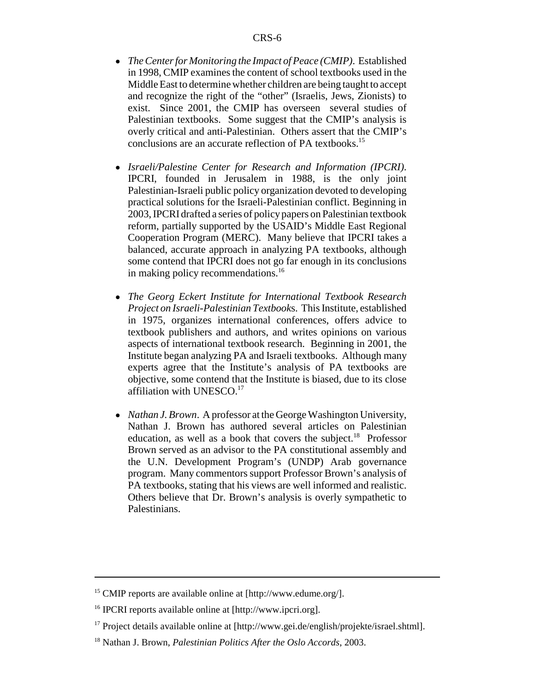- ! *The Center for Monitoring the Impact of Peace (CMIP)*. Established in 1998, CMIP examines the content of school textbooks used in the Middle East to determine whether children are being taught to accept and recognize the right of the "other" (Israelis, Jews, Zionists) to exist. Since 2001, the CMIP has overseen several studies of Palestinian textbooks. Some suggest that the CMIP's analysis is overly critical and anti-Palestinian. Others assert that the CMIP's conclusions are an accurate reflection of PA textbooks.<sup>15</sup>
- ! *Israeli/Palestine Center for Research and Information (IPCRI)*. IPCRI, founded in Jerusalem in 1988, is the only joint Palestinian-Israeli public policy organization devoted to developing practical solutions for the Israeli-Palestinian conflict. Beginning in 2003, IPCRI drafted a series of policy papers on Palestinian textbook reform, partially supported by the USAID's Middle East Regional Cooperation Program (MERC). Many believe that IPCRI takes a balanced, accurate approach in analyzing PA textbooks, although some contend that IPCRI does not go far enough in its conclusions in making policy recommendations.<sup>16</sup>
- ! *The Georg Eckert Institute for International Textbook Research Project on Israeli-Palestinian Textbook*s. This Institute, established in 1975, organizes international conferences, offers advice to textbook publishers and authors, and writes opinions on various aspects of international textbook research. Beginning in 2001, the Institute began analyzing PA and Israeli textbooks. Although many experts agree that the Institute's analysis of PA textbooks are objective, some contend that the Institute is biased, due to its close affiliation with UNESCO.<sup>17</sup>
- *Nathan J. Brown.* A professor at the George Washington University, Nathan J. Brown has authored several articles on Palestinian education, as well as a book that covers the subject.<sup>18</sup> Professor Brown served as an advisor to the PA constitutional assembly and the U.N. Development Program's (UNDP) Arab governance program. Many commentors support Professor Brown's analysis of PA textbooks, stating that his views are well informed and realistic. Others believe that Dr. Brown's analysis is overly sympathetic to Palestinians.

<sup>&</sup>lt;sup>15</sup> CMIP reports are available online at [http://www.edume.org/].

<sup>16</sup> IPCRI reports available online at [http://www.ipcri.org].

<sup>&</sup>lt;sup>17</sup> Project details available online at  $[http://www.get.de/english/projects/projectle/israel.shtml].$ 

<sup>18</sup> Nathan J. Brown, *Palestinian Politics After the Oslo Accords*, 2003.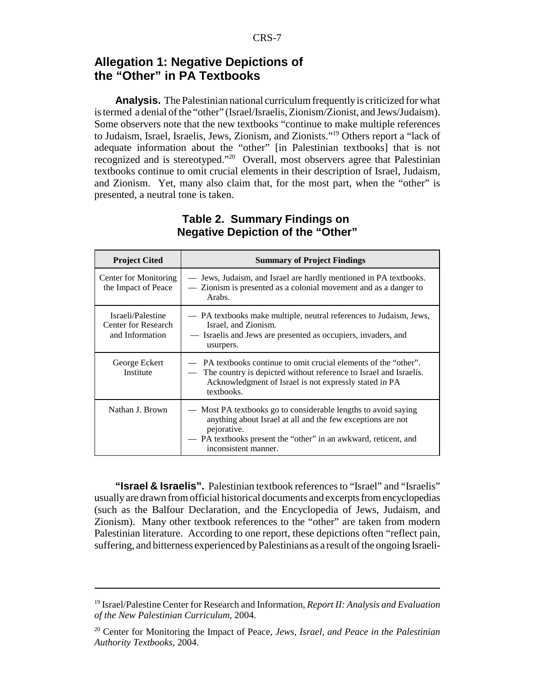## **Allegation 1: Negative Depictions of the "Other" in PA Textbooks**

**Analysis.** The Palestinian national curriculum frequently is criticized for what is termed a denial of the "other" (Israel/Israelis, Zionism/Zionist, and Jews/Judaism). Some observers note that the new textbooks "continue to make multiple references to Judaism, Israel, Israelis, Jews, Zionism, and Zionists."19 Others report a "lack of adequate information about the "other" [in Palestinian textbooks] that is not recognized and is stereotyped."20 Overall, most observers agree that Palestinian textbooks continue to omit crucial elements in their description of Israel, Judaism, and Zionism. Yet, many also claim that, for the most part, when the "other" is presented, a neutral tone is taken.

| <b>Project Cited</b>                                        | <b>Summary of Project Findings</b>                                                                                                                                                                                                      |
|-------------------------------------------------------------|-----------------------------------------------------------------------------------------------------------------------------------------------------------------------------------------------------------------------------------------|
| Center for Monitoring<br>the Impact of Peace                | — Jews, Judaism, and Israel are hardly mentioned in PA textbooks.<br>- Zionism is presented as a colonial movement and as a danger to<br>Arabs.                                                                                         |
| Israeli/Palestine<br>Center for Research<br>and Information | — PA textbooks make multiple, neutral references to Judaism, Jews,<br>Israel, and Zionism.<br>Israelis and Jews are presented as occupiers, invaders, and<br>usurpers.                                                                  |
| George Eckert<br>Institute                                  | — PA textbooks continue to omit crucial elements of the "other".<br>The country is depicted without reference to Israel and Israelis.<br>Acknowledgment of Israel is not expressly stated in PA<br>textbooks.                           |
| Nathan J. Brown                                             | — Most PA textbooks go to considerable lengths to avoid saying<br>anything about Israel at all and the few exceptions are not<br>pejorative.<br>— PA textbooks present the "other" in an awkward, reticent, and<br>inconsistent manner. |

#### **Table 2. Summary Findings on Negative Depiction of the "Other"**

**"Israel & Israelis".** Palestinian textbook references to "Israel" and "Israelis" usually are drawn from official historical documents and excerpts from encyclopedias (such as the Balfour Declaration, and the Encyclopedia of Jews, Judaism, and Zionism). Many other textbook references to the "other" are taken from modern Palestinian literature. According to one report, these depictions often "reflect pain, suffering, and bitterness experienced by Palestinians as a result of the ongoing Israeli-

<sup>19</sup> Israel/Palestine Center for Research and Information, *Report II: Analysis and Evaluation of the New Palestinian Curriculum*, 2004.

<sup>20</sup> Center for Monitoring the Impact of Peace, *Jews, Israel, and Peace in the Palestinian Authority Textbooks*, 2004.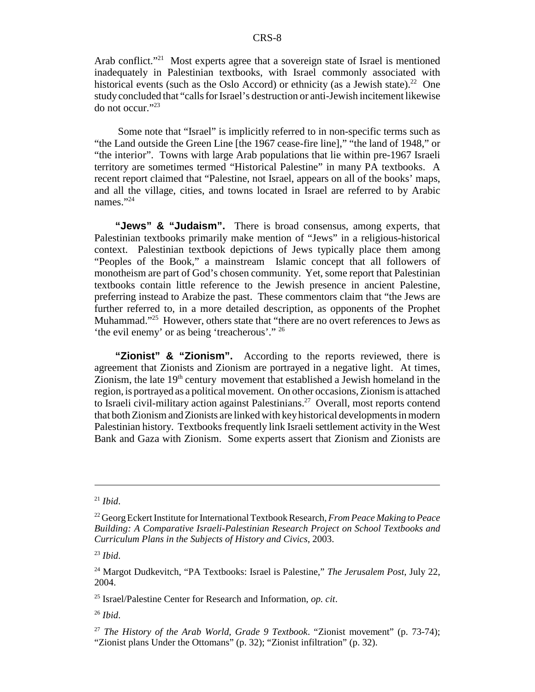Arab conflict."<sup>21</sup> Most experts agree that a sovereign state of Israel is mentioned inadequately in Palestinian textbooks, with Israel commonly associated with historical events (such as the Oslo Accord) or ethnicity (as a Jewish state).<sup>22</sup> One study concluded that "calls for Israel's destruction or anti-Jewish incitement likewise do not occur."23

 Some note that "Israel" is implicitly referred to in non-specific terms such as "the Land outside the Green Line [the 1967 cease-fire line]," "the land of 1948," or "the interior". Towns with large Arab populations that lie within pre-1967 Israeli territory are sometimes termed "Historical Palestine" in many PA textbooks. A recent report claimed that "Palestine, not Israel, appears on all of the books' maps, and all the village, cities, and towns located in Israel are referred to by Arabic names."<sup>24</sup>

"Jews" & "Judaism". There is broad consensus, among experts, that Palestinian textbooks primarily make mention of "Jews" in a religious-historical context. Palestinian textbook depictions of Jews typically place them among "Peoples of the Book," a mainstream Islamic concept that all followers of monotheism are part of God's chosen community. Yet, some report that Palestinian textbooks contain little reference to the Jewish presence in ancient Palestine, preferring instead to Arabize the past. These commentors claim that "the Jews are further referred to, in a more detailed description, as opponents of the Prophet Muhammad."<sup>25</sup> However, others state that "there are no overt references to Jews as 'the evil enemy' or as being 'treacherous'." 26

**"Zionist" & "Zionism".** According to the reports reviewed, there is agreement that Zionists and Zionism are portrayed in a negative light. At times, Zionism, the late  $19<sup>th</sup>$  century movement that established a Jewish homeland in the region, is portrayed as a political movement. On other occasions, Zionism is attached to Israeli civil-military action against Palestinians.<sup>27</sup> Overall, most reports contend that both Zionism and Zionists are linked with key historical developments in modern Palestinian history. Textbooks frequently link Israeli settlement activity in the West Bank and Gaza with Zionism. Some experts assert that Zionism and Zionists are

<sup>21</sup> *Ibid*.

<sup>22</sup> Georg Eckert Institute for International Textbook Research, *From Peace Making to Peace Building: A Comparative Israeli-Palestinian Research Project on School Textbooks and Curriculum Plans in the Subjects of History and Civics*, 2003.

<sup>23</sup> *Ibid*.

<sup>24</sup> Margot Dudkevitch, "PA Textbooks: Israel is Palestine," *The Jerusalem Post*, July 22, 2004.

<sup>25</sup> Israel/Palestine Center for Research and Information, *op. cit*.

<sup>26</sup> *Ibid*.

<sup>27</sup> *The History of the Arab World, Grade 9 Textbook*. "Zionist movement" (p. 73-74); "Zionist plans Under the Ottomans" (p. 32); "Zionist infiltration" (p. 32).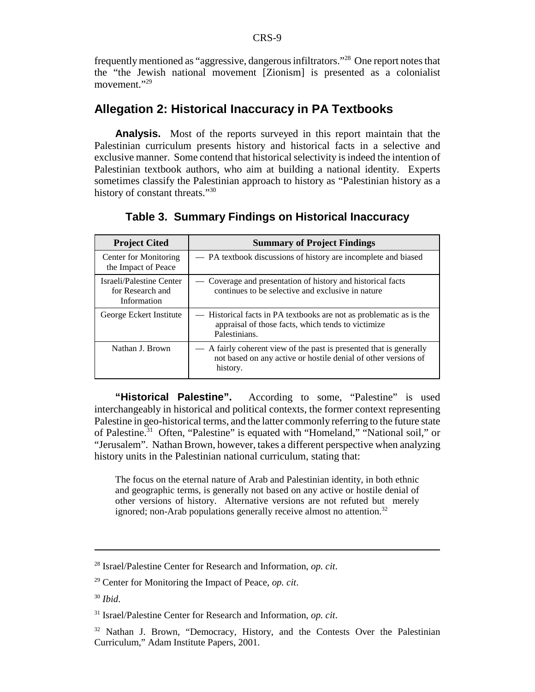frequently mentioned as "aggressive, dangerous infiltrators."28 One report notes that the "the Jewish national movement [Zionism] is presented as a colonialist movement."<sup>29</sup>

## **Allegation 2: Historical Inaccuracy in PA Textbooks**

**Analysis.** Most of the reports surveyed in this report maintain that the Palestinian curriculum presents history and historical facts in a selective and exclusive manner. Some contend that historical selectivity is indeed the intention of Palestinian textbook authors, who aim at building a national identity. Experts sometimes classify the Palestinian approach to history as "Palestinian history as a history of constant threats."<sup>30</sup>

| <b>Project Cited</b>                                        | <b>Summary of Project Findings</b>                                                                                                                |
|-------------------------------------------------------------|---------------------------------------------------------------------------------------------------------------------------------------------------|
| Center for Monitoring<br>the Impact of Peace                | - PA textbook discussions of history are incomplete and biased                                                                                    |
| Israeli/Palestine Center<br>for Research and<br>Information | Coverage and presentation of history and historical facts<br>continues to be selective and exclusive in nature                                    |
| George Eckert Institute                                     | Historical facts in PA textbooks are not as problematic as is the<br>appraisal of those facts, which tends to victimize<br>Palestinians.          |
| Nathan J. Brown                                             | — A fairly coherent view of the past is presented that is generally<br>not based on any active or hostile denial of other versions of<br>history. |

**Table 3. Summary Findings on Historical Inaccuracy**

**"Historical Palestine".** According to some, "Palestine" is used interchangeably in historical and political contexts, the former context representing Palestine in geo-historical terms, and the latter commonly referring to the future state of Palestine.<sup>31</sup> Often, "Palestine" is equated with "Homeland," "National soil," or "Jerusalem". Nathan Brown, however, takes a different perspective when analyzing history units in the Palestinian national curriculum, stating that:

The focus on the eternal nature of Arab and Palestinian identity, in both ethnic and geographic terms, is generally not based on any active or hostile denial of other versions of history. Alternative versions are not refuted but merely ignored; non-Arab populations generally receive almost no attention.<sup>32</sup>

<sup>28</sup> Israel/Palestine Center for Research and Information, *op. cit*.

<sup>29</sup> Center for Monitoring the Impact of Peace, *op. cit*.

<sup>30</sup> *Ibid*.

<sup>31</sup> Israel/Palestine Center for Research and Information, *op. cit*.

<sup>&</sup>lt;sup>32</sup> Nathan J. Brown, "Democracy, History, and the Contests Over the Palestinian Curriculum," Adam Institute Papers, 2001.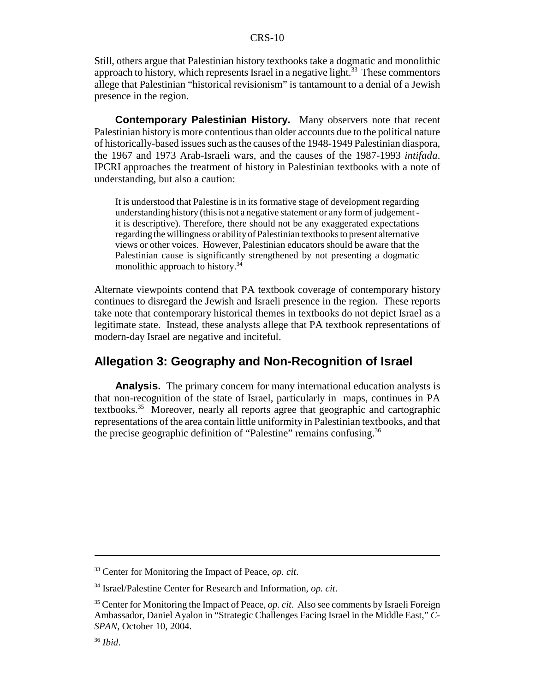Still, others argue that Palestinian history textbooks take a dogmatic and monolithic approach to history, which represents Israel in a negative light.<sup>33</sup> These commentors allege that Palestinian "historical revisionism" is tantamount to a denial of a Jewish presence in the region.

**Contemporary Palestinian History.** Many observers note that recent Palestinian history is more contentious than older accounts due to the political nature of historically-based issues such as the causes of the 1948-1949 Palestinian diaspora, the 1967 and 1973 Arab-Israeli wars, and the causes of the 1987-1993 *intifada*. IPCRI approaches the treatment of history in Palestinian textbooks with a note of understanding, but also a caution:

It is understood that Palestine is in its formative stage of development regarding understanding history (this is not a negative statement or any form of judgement it is descriptive). Therefore, there should not be any exaggerated expectations regarding the willingness or ability of Palestinian textbooks to present alternative views or other voices. However, Palestinian educators should be aware that the Palestinian cause is significantly strengthened by not presenting a dogmatic monolithic approach to history.<sup>34</sup>

Alternate viewpoints contend that PA textbook coverage of contemporary history continues to disregard the Jewish and Israeli presence in the region. These reports take note that contemporary historical themes in textbooks do not depict Israel as a legitimate state. Instead, these analysts allege that PA textbook representations of modern-day Israel are negative and inciteful.

## **Allegation 3: Geography and Non-Recognition of Israel**

**Analysis.** The primary concern for many international education analysts is that non-recognition of the state of Israel, particularly in maps, continues in PA textbooks.35 Moreover, nearly all reports agree that geographic and cartographic representations of the area contain little uniformity in Palestinian textbooks, and that the precise geographic definition of "Palestine" remains confusing.<sup>36</sup>

<sup>33</sup> Center for Monitoring the Impact of Peace, *op. cit*.

<sup>34</sup> Israel/Palestine Center for Research and Information, *op. cit*.

<sup>35</sup> Center for Monitoring the Impact of Peace, *op. cit*. Also see comments by Israeli Foreign Ambassador, Daniel Ayalon in "Strategic Challenges Facing Israel in the Middle East," *C-SPAN*, October 10, 2004.

<sup>36</sup> *Ibid*.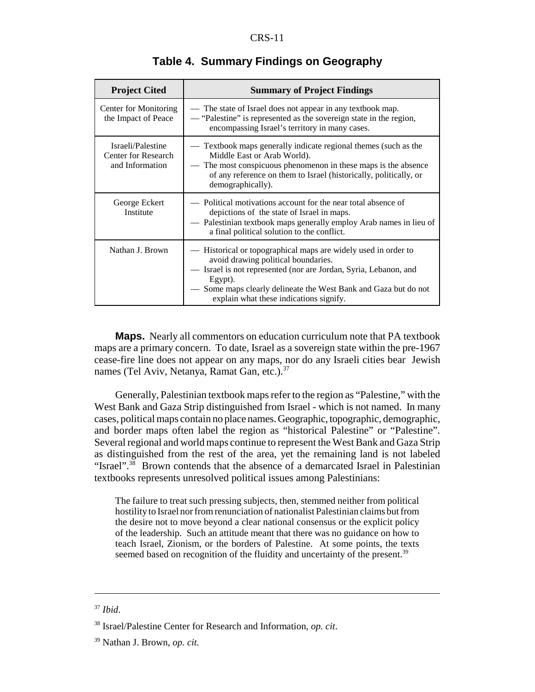| <b>Project Cited</b>                                        | <b>Summary of Project Findings</b>                                                                                                                                                                                                                                                               |
|-------------------------------------------------------------|--------------------------------------------------------------------------------------------------------------------------------------------------------------------------------------------------------------------------------------------------------------------------------------------------|
| Center for Monitoring<br>the Impact of Peace                | — The state of Israel does not appear in any textbook map.<br>— "Palestine" is represented as the sovereign state in the region,<br>encompassing Israel's territory in many cases.                                                                                                               |
| Israeli/Palestine<br>Center for Research<br>and Information | — Textbook maps generally indicate regional themes (such as the<br>Middle East or Arab World).<br>— The most conspicuous phenomenon in these maps is the absence<br>of any reference on them to Israel (historically, politically, or<br>demographically).                                       |
| George Eckert<br>Institute                                  | — Political motivations account for the near total absence of<br>depictions of the state of Israel in maps.<br>- Palestinian textbook maps generally employ Arab names in lieu of<br>a final political solution to the conflict.                                                                 |
| Nathan J. Brown                                             | - Historical or topographical maps are widely used in order to<br>avoid drawing political boundaries.<br>- Israel is not represented (nor are Jordan, Syria, Lebanon, and<br>Egypt).<br>Some maps clearly delineate the West Bank and Gaza but do not<br>explain what these indications signify. |

#### **Table 4. Summary Findings on Geography**

**Maps.** Nearly all commentors on education curriculum note that PA textbook maps are a primary concern. To date, Israel as a sovereign state within the pre-1967 cease-fire line does not appear on any maps, nor do any Israeli cities bear Jewish names (Tel Aviv, Netanya, Ramat Gan, etc.).<sup>37</sup>

Generally, Palestinian textbook maps refer to the region as "Palestine," with the West Bank and Gaza Strip distinguished from Israel - which is not named. In many cases, political maps contain no place names. Geographic, topographic, demographic, and border maps often label the region as "historical Palestine" or "Palestine". Several regional and world maps continue to represent the West Bank and Gaza Strip as distinguished from the rest of the area, yet the remaining land is not labeled "Israel".<sup>38</sup> Brown contends that the absence of a demarcated Israel in Palestinian textbooks represents unresolved political issues among Palestinians:

The failure to treat such pressing subjects, then, stemmed neither from political hostility to Israel nor from renunciation of nationalist Palestinian claims but from the desire not to move beyond a clear national consensus or the explicit policy of the leadership. Such an attitude meant that there was no guidance on how to teach Israel, Zionism, or the borders of Palestine. At some points, the texts seemed based on recognition of the fluidity and uncertainty of the present.<sup>39</sup>

<sup>37</sup> *Ibid*.

<sup>38</sup> Israel/Palestine Center for Research and Information, *op. cit*.

<sup>39</sup> Nathan J. Brown, *op. cit.*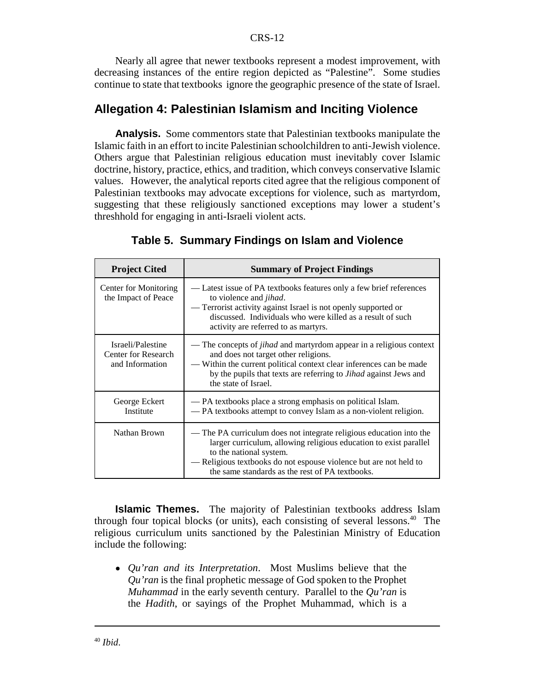Nearly all agree that newer textbooks represent a modest improvement, with decreasing instances of the entire region depicted as "Palestine". Some studies continue to state that textbooks ignore the geographic presence of the state of Israel.

## **Allegation 4: Palestinian Islamism and Inciting Violence**

**Analysis.** Some commentors state that Palestinian textbooks manipulate the Islamic faith in an effort to incite Palestinian schoolchildren to anti-Jewish violence. Others argue that Palestinian religious education must inevitably cover Islamic doctrine, history, practice, ethics, and tradition, which conveys conservative Islamic values. However, the analytical reports cited agree that the religious component of Palestinian textbooks may advocate exceptions for violence, such as martyrdom, suggesting that these religiously sanctioned exceptions may lower a student's threshhold for engaging in anti-Israeli violent acts.

| <b>Project Cited</b>                                        | <b>Summary of Project Findings</b>                                                                                                                                                                                                                                                           |
|-------------------------------------------------------------|----------------------------------------------------------------------------------------------------------------------------------------------------------------------------------------------------------------------------------------------------------------------------------------------|
| Center for Monitoring<br>the Impact of Peace                | — Latest issue of PA textbooks features only a few brief references<br>to violence and <i>jihad</i> .<br>— Terrorist activity against Israel is not openly supported or<br>discussed. Individuals who were killed as a result of such<br>activity are referred to as martyrs.                |
| Israeli/Palestine<br>Center for Research<br>and Information | — The concepts of <i>jihad</i> and martyrdom appear in a religious context<br>and does not target other religions.<br>— Within the current political context clear inferences can be made<br>by the pupils that texts are referring to <i>Jihad</i> against Jews and<br>the state of Israel. |
| George Eckert<br>Institute                                  | — PA textbooks place a strong emphasis on political Islam.<br>- PA textbooks attempt to convey Islam as a non-violent religion.                                                                                                                                                              |
| Nathan Brown                                                | — The PA curriculum does not integrate religious education into the<br>larger curriculum, allowing religious education to exist parallel<br>to the national system.<br>- Religious textbooks do not espouse violence but are not held to<br>the same standards as the rest of PA textbooks.  |

#### **Table 5. Summary Findings on Islam and Violence**

**Islamic Themes.** The majority of Palestinian textbooks address Islam through four topical blocks (or units), each consisting of several lessons.40 The religious curriculum units sanctioned by the Palestinian Ministry of Education include the following:

! *Qu'ran and its Interpretation*. Most Muslims believe that the *Qu'ran* is the final prophetic message of God spoken to the Prophet *Muhammad* in the early seventh century. Parallel to the *Qu'ran* is the *Hadith*, or sayings of the Prophet Muhammad, which is a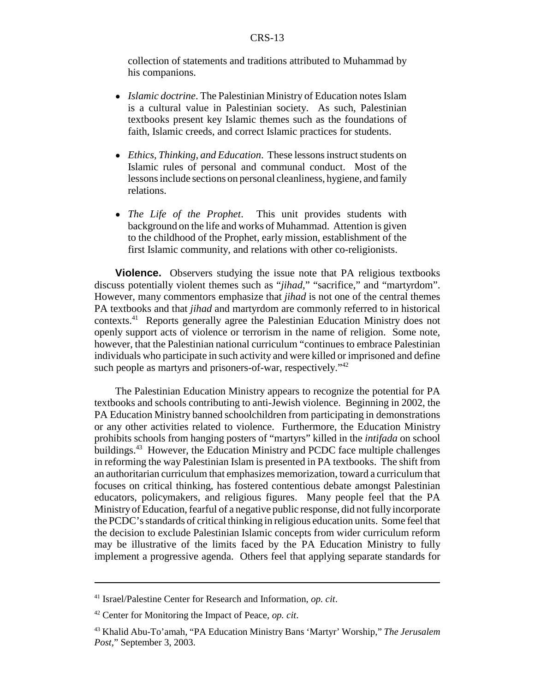collection of statements and traditions attributed to Muhammad by his companions.

- ! *Islamic doctrine*. The Palestinian Ministry of Education notes Islam is a cultural value in Palestinian society. As such, Palestinian textbooks present key Islamic themes such as the foundations of faith, Islamic creeds, and correct Islamic practices for students.
- ! *Ethics, Thinking, and Education*. These lessons instruct students on Islamic rules of personal and communal conduct. Most of the lessons include sections on personal cleanliness, hygiene, and family relations.
- ! *The Life of the Prophet*. This unit provides students with background on the life and works of Muhammad. Attention is given to the childhood of the Prophet, early mission, establishment of the first Islamic community, and relations with other co-religionists.

**Violence.** Observers studying the issue note that PA religious textbooks discuss potentially violent themes such as "*jihad*," "sacrifice," and "martyrdom". However, many commentors emphasize that *jihad* is not one of the central themes PA textbooks and that *jihad* and martyrdom are commonly referred to in historical contexts.41 Reports generally agree the Palestinian Education Ministry does not openly support acts of violence or terrorism in the name of religion. Some note, however, that the Palestinian national curriculum "continues to embrace Palestinian individuals who participate in such activity and were killed or imprisoned and define such people as martyrs and prisoners-of-war, respectively."<sup>42</sup>

The Palestinian Education Ministry appears to recognize the potential for PA textbooks and schools contributing to anti-Jewish violence. Beginning in 2002, the PA Education Ministry banned schoolchildren from participating in demonstrations or any other activities related to violence. Furthermore, the Education Ministry prohibits schools from hanging posters of "martyrs" killed in the *intifada* on school buildings.<sup>43</sup> However, the Education Ministry and PCDC face multiple challenges in reforming the way Palestinian Islam is presented in PA textbooks. The shift from an authoritarian curriculum that emphasizes memorization, toward a curriculum that focuses on critical thinking, has fostered contentious debate amongst Palestinian educators, policymakers, and religious figures. Many people feel that the PA Ministry of Education, fearful of a negative public response, did not fully incorporate the PCDC's standards of critical thinking in religious education units. Some feel that the decision to exclude Palestinian Islamic concepts from wider curriculum reform may be illustrative of the limits faced by the PA Education Ministry to fully implement a progressive agenda. Others feel that applying separate standards for

<sup>41</sup> Israel/Palestine Center for Research and Information, *op. cit*.

<sup>42</sup> Center for Monitoring the Impact of Peace, *op. cit*.

<sup>43</sup> Khalid Abu-To'amah, "PA Education Ministry Bans 'Martyr' Worship," *The Jerusalem Post*," September 3, 2003.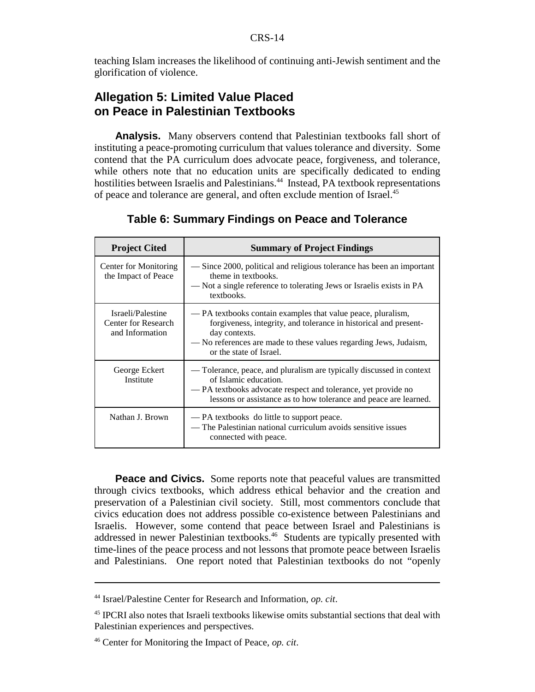teaching Islam increases the likelihood of continuing anti-Jewish sentiment and the glorification of violence.

## **Allegation 5: Limited Value Placed on Peace in Palestinian Textbooks**

**Analysis.** Many observers contend that Palestinian textbooks fall short of instituting a peace-promoting curriculum that values tolerance and diversity. Some contend that the PA curriculum does advocate peace, forgiveness, and tolerance, while others note that no education units are specifically dedicated to ending hostilities between Israelis and Palestinians.<sup>44</sup> Instead, PA textbook representations of peace and tolerance are general, and often exclude mention of Israel.<sup>45</sup>

| <b>Project Cited</b>                                        | <b>Summary of Project Findings</b>                                                                                                                                                                                                                |
|-------------------------------------------------------------|---------------------------------------------------------------------------------------------------------------------------------------------------------------------------------------------------------------------------------------------------|
| Center for Monitoring<br>the Impact of Peace                | — Since 2000, political and religious tolerance has been an important<br>theme in textbooks.<br>— Not a single reference to tolerating Jews or Israelis exists in PA<br>textbooks.                                                                |
| Israeli/Palestine<br>Center for Research<br>and Information | — PA textbooks contain examples that value peace, pluralism,<br>forgiveness, integrity, and tolerance in historical and present-<br>day contexts.<br>— No references are made to these values regarding Jews, Judaism,<br>or the state of Israel. |
| George Eckert<br>Institute                                  | — Tolerance, peace, and pluralism are typically discussed in context<br>of Islamic education.<br>— PA textbooks advocate respect and tolerance, yet provide no<br>lessons or assistance as to how tolerance and peace are learned.                |
| Nathan J. Brown                                             | — PA textbooks do little to support peace.<br>— The Palestinian national curriculum avoids sensitive issues<br>connected with peace.                                                                                                              |

**Table 6: Summary Findings on Peace and Tolerance**

**Peace and Civics.** Some reports note that peaceful values are transmitted through civics textbooks, which address ethical behavior and the creation and preservation of a Palestinian civil society. Still, most commentors conclude that civics education does not address possible co-existence between Palestinians and Israelis. However, some contend that peace between Israel and Palestinians is addressed in newer Palestinian textbooks.46 Students are typically presented with time-lines of the peace process and not lessons that promote peace between Israelis and Palestinians. One report noted that Palestinian textbooks do not "openly

<sup>44</sup> Israel/Palestine Center for Research and Information, *op. cit*.

<sup>&</sup>lt;sup>45</sup> IPCRI also notes that Israeli textbooks likewise omits substantial sections that deal with Palestinian experiences and perspectives.

<sup>46</sup> Center for Monitoring the Impact of Peace, *op. cit*.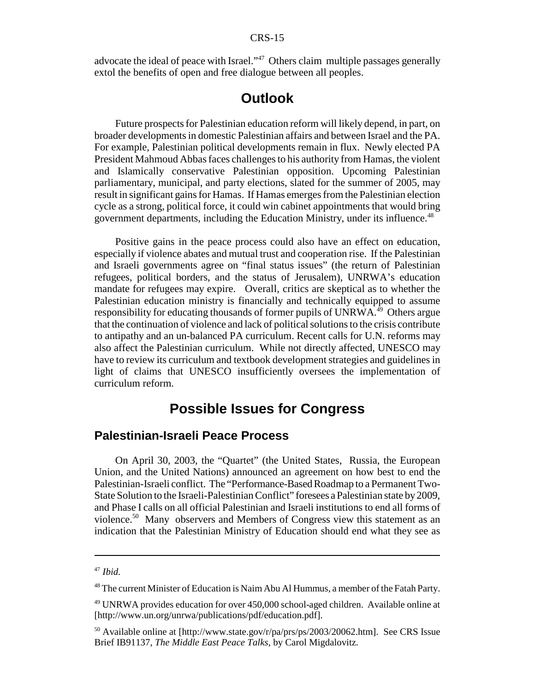advocate the ideal of peace with Israel."47 Others claim multiple passages generally extol the benefits of open and free dialogue between all peoples.

## **Outlook**

Future prospects for Palestinian education reform will likely depend, in part, on broader developments in domestic Palestinian affairs and between Israel and the PA. For example, Palestinian political developments remain in flux. Newly elected PA President Mahmoud Abbas faces challenges to his authority from Hamas, the violent and Islamically conservative Palestinian opposition. Upcoming Palestinian parliamentary, municipal, and party elections, slated for the summer of 2005, may result in significant gains for Hamas. If Hamas emerges from the Palestinian election cycle as a strong, political force, it could win cabinet appointments that would bring government departments, including the Education Ministry, under its influence.<sup>48</sup>

Positive gains in the peace process could also have an effect on education, especially if violence abates and mutual trust and cooperation rise. If the Palestinian and Israeli governments agree on "final status issues" (the return of Palestinian refugees, political borders, and the status of Jerusalem), UNRWA's education mandate for refugees may expire. Overall, critics are skeptical as to whether the Palestinian education ministry is financially and technically equipped to assume responsibility for educating thousands of former pupils of UNRWA.<sup>49</sup> Others argue that the continuation of violence and lack of political solutions to the crisis contribute to antipathy and an un-balanced PA curriculum. Recent calls for U.N. reforms may also affect the Palestinian curriculum. While not directly affected, UNESCO may have to review its curriculum and textbook development strategies and guidelines in light of claims that UNESCO insufficiently oversees the implementation of curriculum reform.

## **Possible Issues for Congress**

#### **Palestinian-Israeli Peace Process**

On April 30, 2003, the "Quartet" (the United States, Russia, the European Union, and the United Nations) announced an agreement on how best to end the Palestinian-Israeli conflict. The "Performance-Based Roadmap to a Permanent Two-State Solution to the Israeli-Palestinian Conflict" foresees a Palestinian state by 2009, and Phase I calls on all official Palestinian and Israeli institutions to end all forms of violence.<sup>50</sup> Many observers and Members of Congress view this statement as an indication that the Palestinian Ministry of Education should end what they see as

<sup>47</sup> *Ibid.*

<sup>&</sup>lt;sup>48</sup> The current Minister of Education is Naim Abu Al Hummus, a member of the Fatah Party.

<sup>49</sup> UNRWA provides education for over 450,000 school-aged children. Available online at [http://www.un.org/unrwa/publications/pdf/education.pdf].

<sup>&</sup>lt;sup>50</sup> Available online at [http://www.state.gov/r/pa/prs/ps/2003/20062.htm]. See CRS Issue Brief IB91137, *The Middle East Peace Talks*, by Carol Migdalovitz.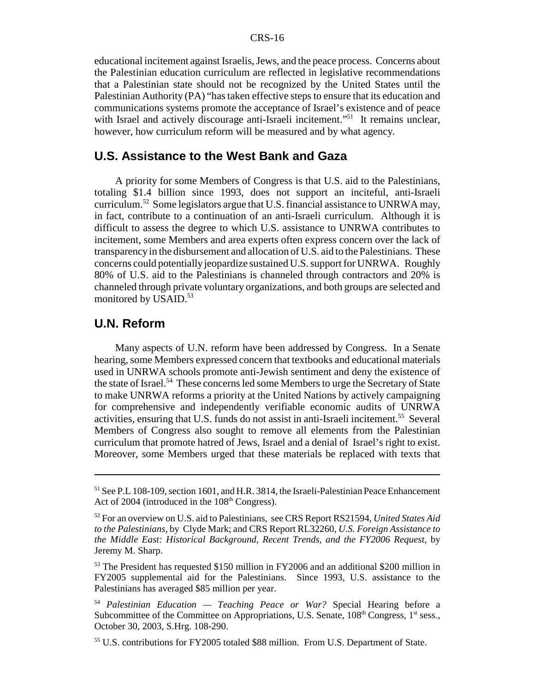educational incitement against Israelis, Jews, and the peace process. Concerns about the Palestinian education curriculum are reflected in legislative recommendations that a Palestinian state should not be recognized by the United States until the Palestinian Authority (PA) "has taken effective steps to ensure that its education and communications systems promote the acceptance of Israel's existence and of peace with Israel and actively discourage anti-Israeli incitement."<sup>51</sup> It remains unclear, however, how curriculum reform will be measured and by what agency.

#### **U.S. Assistance to the West Bank and Gaza**

A priority for some Members of Congress is that U.S. aid to the Palestinians, totaling \$1.4 billion since 1993, does not support an inciteful, anti-Israeli curriculum.52 Some legislators argue that U.S. financial assistance to UNRWA may, in fact, contribute to a continuation of an anti-Israeli curriculum. Although it is difficult to assess the degree to which U.S. assistance to UNRWA contributes to incitement, some Members and area experts often express concern over the lack of transparency in the disbursement and allocation of U.S. aid to the Palestinians. These concerns could potentially jeopardize sustained U.S. support for UNRWA. Roughly 80% of U.S. aid to the Palestinians is channeled through contractors and 20% is channeled through private voluntary organizations, and both groups are selected and monitored by USAID.<sup>53</sup>

#### **U.N. Reform**

Many aspects of U.N. reform have been addressed by Congress. In a Senate hearing, some Members expressed concern that textbooks and educational materials used in UNRWA schools promote anti-Jewish sentiment and deny the existence of the state of Israel.<sup>54</sup> These concerns led some Members to urge the Secretary of State to make UNRWA reforms a priority at the United Nations by actively campaigning for comprehensive and independently verifiable economic audits of UNRWA activities, ensuring that U.S. funds do not assist in anti-Israeli incitement.<sup>55</sup> Several Members of Congress also sought to remove all elements from the Palestinian curriculum that promote hatred of Jews, Israel and a denial of Israel's right to exist. Moreover, some Members urged that these materials be replaced with texts that

<sup>&</sup>lt;sup>51</sup> See P.L 108-109, section 1601, and H.R. 3814, the Israeli-Palestinian Peace Enhancement Act of 2004 (introduced in the  $108<sup>th</sup>$  Congress).

<sup>52</sup> For an overview on U.S. aid to Palestinians, see CRS Report RS21594, *United States Aid to the Palestinians*, by Clyde Mark; and CRS Report RL32260, *U.S. Foreign Assistance to the Middle East: Historical Background, Recent Trends, and the FY2006 Request*, by Jeremy M. Sharp.

<sup>53</sup> The President has requested \$150 million in FY2006 and an additional \$200 million in FY2005 supplemental aid for the Palestinians. Since 1993, U.S. assistance to the Palestinians has averaged \$85 million per year.

<sup>54</sup> *Palestinian Education — Teaching Peace or War?* Special Hearing before a Subcommittee of the Committee on Appropriations, U.S. Senate,  $108<sup>th</sup>$  Congress,  $1<sup>st</sup>$  sess., October 30, 2003, S.Hrg. 108-290.

<sup>&</sup>lt;sup>55</sup> U.S. contributions for FY2005 totaled \$88 million. From U.S. Department of State.